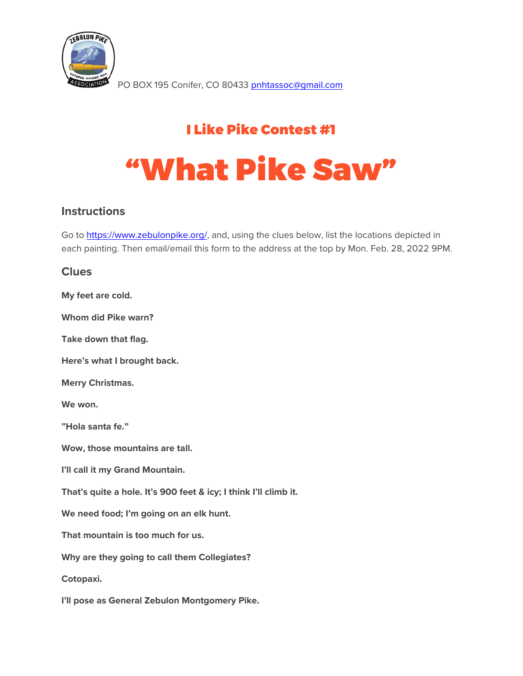

PO BOX 195 Conifer, CO 80433 [pnhtassoc@gmail.com](mailto:pnhtassoc@gmail.com)

## I Like Pike Contest #1

# "What Pike Saw"

#### **Instructions**

Go to [https://www.zebulonpike.org/,](https://www.zebulonpike.org/) and, using the clues below, list the locations depicted in each painting. Then email/email this form to the address at the top by Mon. Feb. 28, 2022 9PM.

#### **Clues**

| My feet are cold.                                                |
|------------------------------------------------------------------|
| Whom did Pike warn?                                              |
| Take down that flag.                                             |
| Here's what I brought back.                                      |
| <b>Merry Christmas.</b>                                          |
| We won.                                                          |
| "Hola santa fe."                                                 |
| Wow, those mountains are tall.                                   |
| I'll call it my Grand Mountain.                                  |
| That's quite a hole. It's 900 feet & icy; I think I'll climb it. |
| We need food; I'm going on an elk hunt.                          |
| That mountain is too much for us.                                |
| Why are they going to call them Collegiates?                     |
| Cotopaxi.                                                        |
| I'll pose as General Zebulon Montgomery Pike.                    |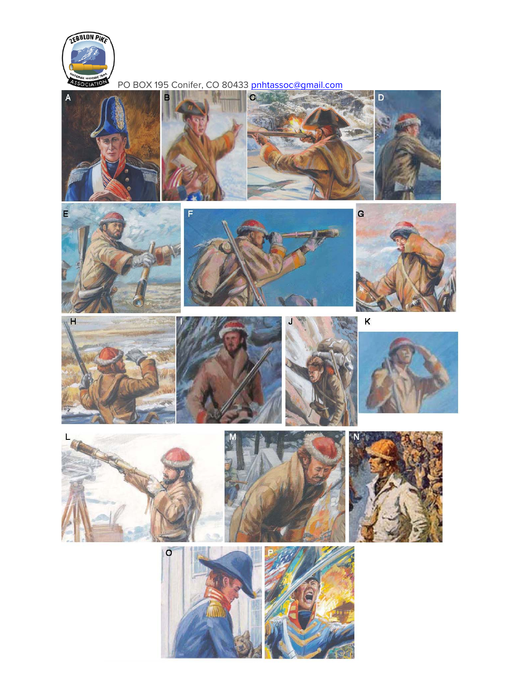

E

PO BOX 195 Conifer, CO 80433 pnhtassoc@gmail.com





B



 $\mathbf{C}$ 



D